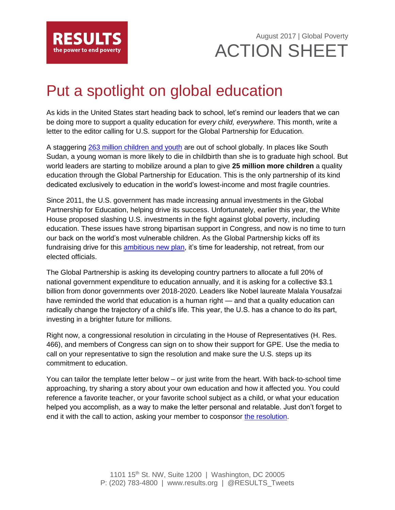

August 2017 | Global Poverty ACTION SHEET

## Put a spotlight on global education

As kids in the United States start heading back to school, let's remind our leaders that we can be doing more to support a quality education for *every child, everywhere*. This month, write a letter to the editor calling for U.S. support for the Global Partnership for Education.

A staggering [263 million children and youth](http://www.unesco.org/new/en/education/themes/leading-the-international-agenda/education-for-all/single-view/news/263_million_children_and_youth_are_out_of_school_from_primar/) are out of school globally. In places like South Sudan, a young woman is more likely to die in childbirth than she is to graduate high school. But world leaders are starting to mobilize around a plan to give **25 million more children** a quality education through the Global Partnership for Education. This is the only partnership of its kind dedicated exclusively to education in the world's lowest-income and most fragile countries.

Since 2011, the U.S. government has made increasing annual investments in the Global Partnership for Education, helping drive its success. Unfortunately, earlier this year, the White House proposed slashing U.S. investments in the fight against global poverty, including education. These issues have strong bipartisan support in Congress, and now is no time to turn our back on the world's most vulnerable children. As the Global Partnership kicks off its fundraising drive for this **ambitious new plan**, it's time for leadership, not retreat, from our elected officials.

The Global Partnership is asking its developing country partners to allocate a full 20% of national government expenditure to education annually, and it is asking for a collective \$3.1 billion from donor governments over 2018-2020. Leaders like Nobel laureate Malala Yousafzai have reminded the world that education is a human right — and that a quality education can radically change the trajectory of a child's life. This year, the U.S. has a chance to do its part, investing in a brighter future for millions.

Right now, a congressional resolution in circulating in the House of Representatives (H. Res. 466), and members of Congress can sign on to show their support for GPE. Use the media to call on your representative to sign the resolution and make sure the U.S. steps up its commitment to education.

You can tailor the template letter below – or just write from the heart. With back-to-school time approaching, try sharing a story about your own education and how it affected you. You could reference a favorite teacher, or your favorite school subject as a child, or what your education helped you accomplish, as a way to make the letter personal and relatable. Just don't forget to end it with the call to action, asking your member to cosponsor [the resolution.](https://www.congress.gov/bill/115th-congress/house-resolution/466/committees?q=%7B%22search%22%3A%5B%22congressId%3A115+AND+billStatus%3A%5C%22Introduced%5C%22%22%5D%7D&r=38)